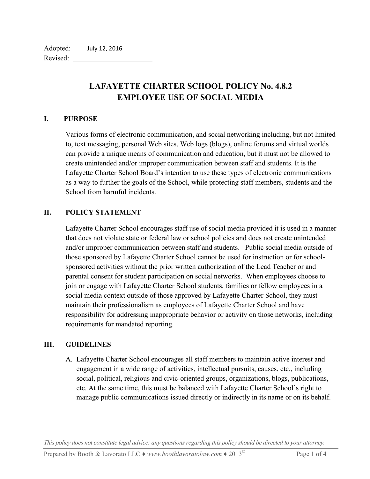# **LAFAYETTE CHARTER SCHOOL POLICY No. 4.8.2 EMPLOYEE USE OF SOCIAL MEDIA**

#### **I. PURPOSE**

Various forms of electronic communication, and social networking including, but not limited to, text messaging, personal Web sites, Web logs (blogs), online forums and virtual worlds can provide a unique means of communication and education, but it must not be allowed to create unintended and/or improper communication between staff and students. It is the Lafayette Charter School Board's intention to use these types of electronic communications as a way to further the goals of the School, while protecting staff members, students and the School from harmful incidents.

#### **II. POLICY STATEMENT**

Lafayette Charter School encourages staff use of social media provided it is used in a manner that does not violate state or federal law or school policies and does not create unintended and/or improper communication between staff and students. Public social media outside of those sponsored by Lafayette Charter School cannot be used for instruction or for schoolsponsored activities without the prior written authorization of the Lead Teacher or and parental consent for student participation on social networks. When employees choose to join or engage with Lafayette Charter School students, families or fellow employees in a social media context outside of those approved by Lafayette Charter School, they must maintain their professionalism as employees of Lafayette Charter School and have responsibility for addressing inappropriate behavior or activity on those networks, including requirements for mandated reporting.

#### **III. GUIDELINES**

A. Lafayette Charter School encourages all staff members to maintain active interest and engagement in a wide range of activities, intellectual pursuits, causes, etc., including social, political, religious and civic-oriented groups, organizations, blogs, publications, etc. At the same time, this must be balanced with Lafayette Charter School's right to manage public communications issued directly or indirectly in its name or on its behalf.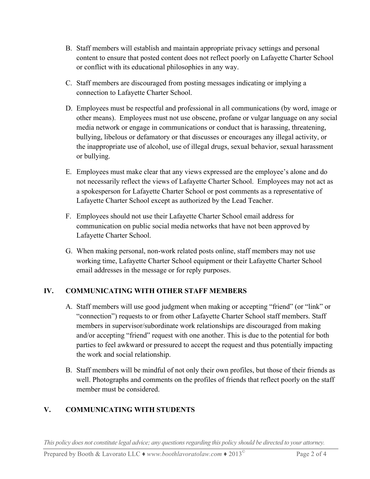- B. Staff members will establish and maintain appropriate privacy settings and personal content to ensure that posted content does not reflect poorly on Lafayette Charter School or conflict with its educational philosophies in any way.
- C. Staff members are discouraged from posting messages indicating or implying a connection to Lafayette Charter School.
- D. Employees must be respectful and professional in all communications (by word, image or other means). Employees must not use obscene, profane or vulgar language on any social media network or engage in communications or conduct that is harassing, threatening, bullying, libelous or defamatory or that discusses or encourages any illegal activity, or the inappropriate use of alcohol, use of illegal drugs, sexual behavior, sexual harassment or bullying.
- E. Employees must make clear that any views expressed are the employee's alone and do not necessarily reflect the views of Lafayette Charter School. Employees may not act as a spokesperson for Lafayette Charter School or post comments as a representative of Lafayette Charter School except as authorized by the Lead Teacher.
- F. Employees should not use their Lafayette Charter School email address for communication on public social media networks that have not been approved by Lafayette Charter School.
- G. When making personal, non-work related posts online, staff members may not use working time, Lafayette Charter School equipment or their Lafayette Charter School email addresses in the message or for reply purposes.

### **IV. COMMUNICATING WITH OTHER STAFF MEMBERS**

- A. Staff members will use good judgment when making or accepting "friend" (or "link" or "connection") requests to or from other Lafayette Charter School staff members. Staff members in supervisor/subordinate work relationships are discouraged from making and/or accepting "friend" request with one another. This is due to the potential for both parties to feel awkward or pressured to accept the request and thus potentially impacting the work and social relationship.
- B. Staff members will be mindful of not only their own profiles, but those of their friends as well. Photographs and comments on the profiles of friends that reflect poorly on the staff member must be considered.

# **V. COMMUNICATING WITH STUDENTS**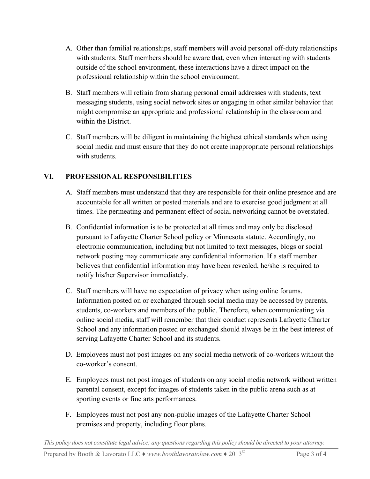- A. Other than familial relationships, staff members will avoid personal off-duty relationships with students. Staff members should be aware that, even when interacting with students outside of the school environment, these interactions have a direct impact on the professional relationship within the school environment.
- B. Staff members will refrain from sharing personal email addresses with students, text messaging students, using social network sites or engaging in other similar behavior that might compromise an appropriate and professional relationship in the classroom and within the District.
- C. Staff members will be diligent in maintaining the highest ethical standards when using social media and must ensure that they do not create inappropriate personal relationships with students.

## **VI. PROFESSIONAL RESPONSIBILITIES**

- A. Staff members must understand that they are responsible for their online presence and are accountable for all written or posted materials and are to exercise good judgment at all times. The permeating and permanent effect of social networking cannot be overstated.
- B. Confidential information is to be protected at all times and may only be disclosed pursuant to Lafayette Charter School policy or Minnesota statute. Accordingly, no electronic communication, including but not limited to text messages, blogs or social network posting may communicate any confidential information. If a staff member believes that confidential information may have been revealed, he/she is required to notify his/her Supervisor immediately.
- C. Staff members will have no expectation of privacy when using online forums. Information posted on or exchanged through social media may be accessed by parents, students, co-workers and members of the public. Therefore, when communicating via online social media, staff will remember that their conduct represents Lafayette Charter School and any information posted or exchanged should always be in the best interest of serving Lafayette Charter School and its students.
- D. Employees must not post images on any social media network of co-workers without the co-worker's consent.
- E. Employees must not post images of students on any social media network without written parental consent, except for images of students taken in the public arena such as at sporting events or fine arts performances.
- F. Employees must not post any non-public images of the Lafayette Charter School premises and property, including floor plans.